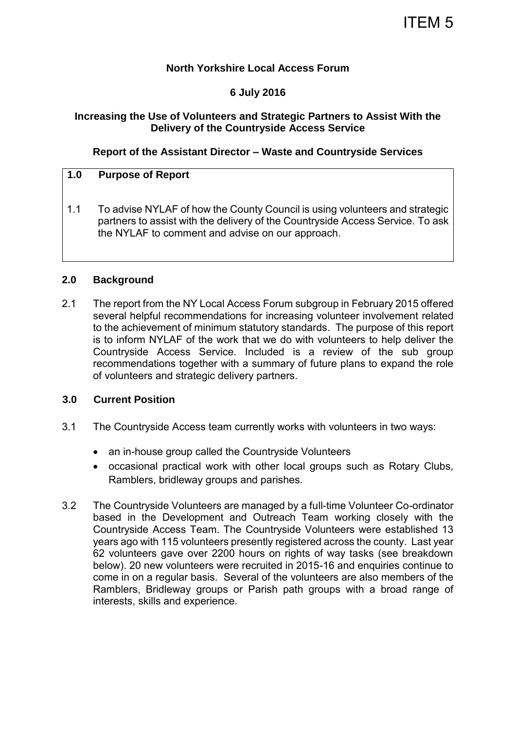#### **North Yorkshire Local Access Forum**

#### **6 July 2016**

#### **Increasing the Use of Volunteers and Strategic Partners to Assist With the Delivery of the Countryside Access Service**

#### **Report of the Assistant Director – Waste and Countryside Services**

#### **1.0 Purpose of Report**

1.1 To advise NYLAF of how the County Council is using volunteers and strategic partners to assist with the delivery of the Countryside Access Service. To ask the NYLAF to comment and advise on our approach.

#### **2.0 Background**

2.1 The report from the NY Local Access Forum subgroup in February 2015 offered several helpful recommendations for increasing volunteer involvement related to the achievement of minimum statutory standards. The purpose of this report is to inform NYLAF of the work that we do with volunteers to help deliver the Countryside Access Service. Included is a review of the sub group recommendations together with a summary of future plans to expand the role of volunteers and strategic delivery partners.

#### **3.0 Current Position**

- 3.1 The Countryside Access team currently works with volunteers in two ways:
	- an in-house group called the Countryside Volunteers
	- occasional practical work with other local groups such as Rotary Clubs, Ramblers, bridleway groups and parishes.
- 3.2 The Countryside Volunteers are managed by a full-time Volunteer Co-ordinator based in the Development and Outreach Team working closely with the Countryside Access Team. The Countryside Volunteers were established 13 years ago with 115 volunteers presently registered across the county. Last year 62 volunteers gave over 2200 hours on rights of way tasks (see breakdown below). 20 new volunteers were recruited in 2015-16 and enquiries continue to come in on a regular basis. Several of the volunteers are also members of the Ramblers, Bridleway groups or Parish path groups with a broad range of interests, skills and experience.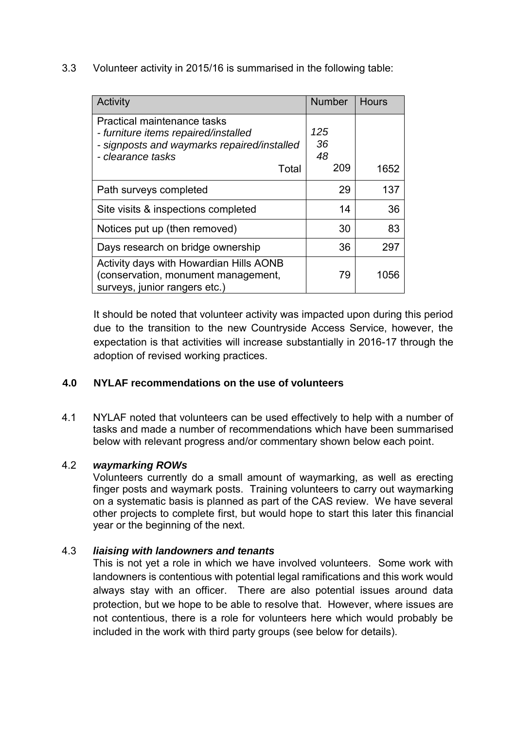3.3 Volunteer activity in 2015/16 is summarised in the following table:

| Activity                                                                                                                                         | <b>Number</b>          | <b>Hours</b> |
|--------------------------------------------------------------------------------------------------------------------------------------------------|------------------------|--------------|
| Practical maintenance tasks<br>- furniture items repaired/installed<br>- signposts and waymarks repaired/installed<br>- clearance tasks<br>Total | 125<br>36<br>48<br>209 | 1652         |
|                                                                                                                                                  |                        |              |
| Path surveys completed                                                                                                                           | 29                     | 137          |
| Site visits & inspections completed                                                                                                              | 14                     | 36           |
| Notices put up (then removed)                                                                                                                    | 30                     | 83           |
| Days research on bridge ownership                                                                                                                | 36                     | 297          |
| Activity days with Howardian Hills AONB<br>(conservation, monument management,<br>surveys, junior rangers etc.)                                  | 79                     | 1056         |

It should be noted that volunteer activity was impacted upon during this period due to the transition to the new Countryside Access Service, however, the expectation is that activities will increase substantially in 2016-17 through the adoption of revised working practices.

## **4.0 NYLAF recommendations on the use of volunteers**

4.1 NYLAF noted that volunteers can be used effectively to help with a number of tasks and made a number of recommendations which have been summarised below with relevant progress and/or commentary shown below each point.

## 4.2 *waymarking ROWs*

Volunteers currently do a small amount of waymarking, as well as erecting finger posts and waymark posts. Training volunteers to carry out waymarking on a systematic basis is planned as part of the CAS review. We have several other projects to complete first, but would hope to start this later this financial year or the beginning of the next.

## 4.3 *liaising with landowners and tenants*

This is not yet a role in which we have involved volunteers. Some work with landowners is contentious with potential legal ramifications and this work would always stay with an officer. There are also potential issues around data protection, but we hope to be able to resolve that. However, where issues are not contentious, there is a role for volunteers here which would probably be included in the work with third party groups (see below for details).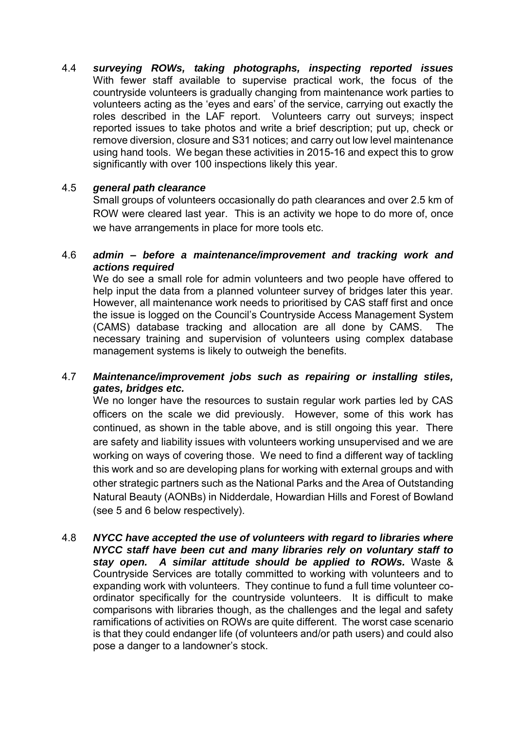4.4 *surveying ROWs, taking photographs, inspecting reported issues*  With fewer staff available to supervise practical work, the focus of the countryside volunteers is gradually changing from maintenance work parties to volunteers acting as the 'eyes and ears' of the service, carrying out exactly the roles described in the LAF report. Volunteers carry out surveys; inspect reported issues to take photos and write a brief description; put up, check or remove diversion, closure and S31 notices; and carry out low level maintenance using hand tools. We began these activities in 2015-16 and expect this to grow significantly with over 100 inspections likely this year.

# 4.5 *general path clearance*

Small groups of volunteers occasionally do path clearances and over 2.5 km of ROW were cleared last year. This is an activity we hope to do more of, once we have arrangements in place for more tools etc.

#### 4.6 *admin – before a maintenance/improvement and tracking work and actions required*

We do see a small role for admin volunteers and two people have offered to help input the data from a planned volunteer survey of bridges later this year. However, all maintenance work needs to prioritised by CAS staff first and once the issue is logged on the Council's Countryside Access Management System (CAMS) database tracking and allocation are all done by CAMS. The necessary training and supervision of volunteers using complex database management systems is likely to outweigh the benefits.

#### 4.7 *Maintenance/improvement jobs such as repairing or installing stiles, gates, bridges etc.*

We no longer have the resources to sustain regular work parties led by CAS officers on the scale we did previously. However, some of this work has continued, as shown in the table above, and is still ongoing this year. There are safety and liability issues with volunteers working unsupervised and we are working on ways of covering those. We need to find a different way of tackling this work and so are developing plans for working with external groups and with other strategic partners such as the National Parks and the Area of Outstanding Natural Beauty (AONBs) in Nidderdale, Howardian Hills and Forest of Bowland (see 5 and 6 below respectively).

4.8 *NYCC have accepted the use of volunteers with regard to libraries where NYCC staff have been cut and many libraries rely on voluntary staff to stay open. A similar attitude should be applied to ROWs.* Waste & Countryside Services are totally committed to working with volunteers and to expanding work with volunteers. They continue to fund a full time volunteer coordinator specifically for the countryside volunteers. It is difficult to make comparisons with libraries though, as the challenges and the legal and safety ramifications of activities on ROWs are quite different. The worst case scenario is that they could endanger life (of volunteers and/or path users) and could also pose a danger to a landowner's stock.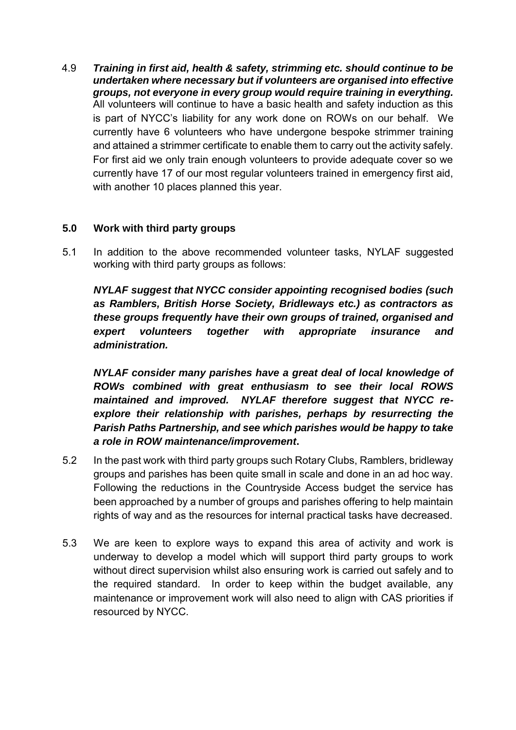4.9 *Training in first aid, health & safety, strimming etc. should continue to be undertaken where necessary but if volunteers are organised into effective groups, not everyone in every group would require training in everything.* All volunteers will continue to have a basic health and safety induction as this is part of NYCC's liability for any work done on ROWs on our behalf. We currently have 6 volunteers who have undergone bespoke strimmer training and attained a strimmer certificate to enable them to carry out the activity safely. For first aid we only train enough volunteers to provide adequate cover so we currently have 17 of our most regular volunteers trained in emergency first aid, with another 10 places planned this year.

## **5.0 Work with third party groups**

5.1 In addition to the above recommended volunteer tasks, NYLAF suggested working with third party groups as follows:

*NYLAF suggest that NYCC consider appointing recognised bodies (such as Ramblers, British Horse Society, Bridleways etc.) as contractors as these groups frequently have their own groups of trained, organised and expert volunteers together with appropriate insurance and administration.* 

*NYLAF consider many parishes have a great deal of local knowledge of ROWs combined with great enthusiasm to see their local ROWS maintained and improved. NYLAF therefore suggest that NYCC reexplore their relationship with parishes, perhaps by resurrecting the Parish Paths Partnership, and see which parishes would be happy to take a role in ROW maintenance/improvement***.** 

- 5.2 In the past work with third party groups such Rotary Clubs, Ramblers, bridleway groups and parishes has been quite small in scale and done in an ad hoc way. Following the reductions in the Countryside Access budget the service has been approached by a number of groups and parishes offering to help maintain rights of way and as the resources for internal practical tasks have decreased.
- 5.3 We are keen to explore ways to expand this area of activity and work is underway to develop a model which will support third party groups to work without direct supervision whilst also ensuring work is carried out safely and to the required standard. In order to keep within the budget available, any maintenance or improvement work will also need to align with CAS priorities if resourced by NYCC.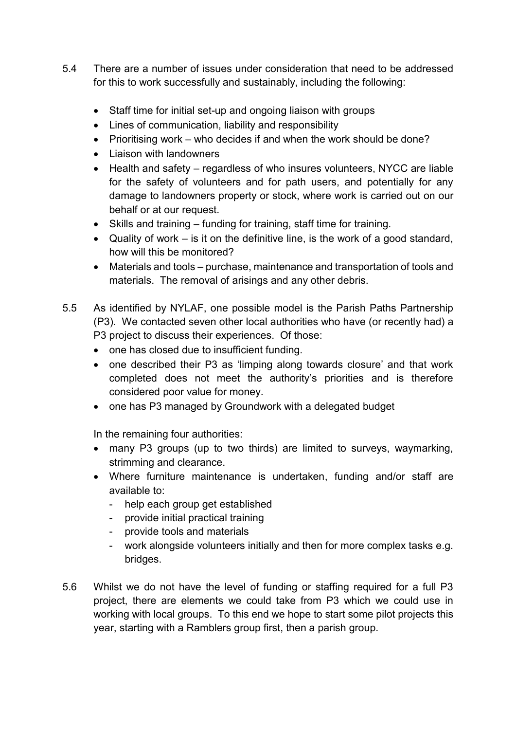- 5.4 There are a number of issues under consideration that need to be addressed for this to work successfully and sustainably, including the following:
	- Staff time for initial set-up and ongoing liaison with groups
	- Lines of communication, liability and responsibility
	- Prioritising work who decides if and when the work should be done?
	- Liaison with landowners
	- Health and safety regardless of who insures volunteers, NYCC are liable for the safety of volunteers and for path users, and potentially for any damage to landowners property or stock, where work is carried out on our behalf or at our request.
	- Skills and training funding for training, staff time for training.
	- $\bullet$  Quality of work is it on the definitive line, is the work of a good standard, how will this be monitored?
	- Materials and tools purchase, maintenance and transportation of tools and materials. The removal of arisings and any other debris.
- 5.5 As identified by NYLAF, one possible model is the Parish Paths Partnership (P3). We contacted seven other local authorities who have (or recently had) a P3 project to discuss their experiences. Of those:
	- one has closed due to insufficient funding.
	- one described their P3 as 'limping along towards closure' and that work completed does not meet the authority's priorities and is therefore considered poor value for money.
	- one has P3 managed by Groundwork with a delegated budget

In the remaining four authorities:

- many P3 groups (up to two thirds) are limited to surveys, waymarking, strimming and clearance.
- Where furniture maintenance is undertaken, funding and/or staff are available to:
	- help each group get established
	- provide initial practical training
	- provide tools and materials
	- work alongside volunteers initially and then for more complex tasks e.g. bridges.
- 5.6 Whilst we do not have the level of funding or staffing required for a full P3 project, there are elements we could take from P3 which we could use in working with local groups. To this end we hope to start some pilot projects this year, starting with a Ramblers group first, then a parish group.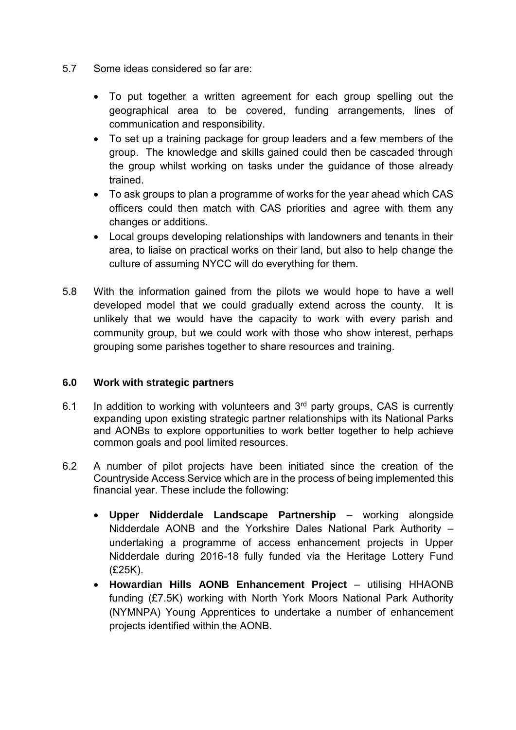- 5.7 Some ideas considered so far are:
	- To put together a written agreement for each group spelling out the geographical area to be covered, funding arrangements, lines of communication and responsibility.
	- To set up a training package for group leaders and a few members of the group. The knowledge and skills gained could then be cascaded through the group whilst working on tasks under the guidance of those already trained.
	- To ask groups to plan a programme of works for the year ahead which CAS officers could then match with CAS priorities and agree with them any changes or additions.
	- Local groups developing relationships with landowners and tenants in their area, to liaise on practical works on their land, but also to help change the culture of assuming NYCC will do everything for them.
- 5.8 With the information gained from the pilots we would hope to have a well developed model that we could gradually extend across the county. It is unlikely that we would have the capacity to work with every parish and community group, but we could work with those who show interest, perhaps grouping some parishes together to share resources and training.

## **6.0 Work with strategic partners**

- 6.1 In addition to working with volunteers and  $3<sup>rd</sup>$  party groups, CAS is currently expanding upon existing strategic partner relationships with its National Parks and AONBs to explore opportunities to work better together to help achieve common goals and pool limited resources.
- 6.2 A number of pilot projects have been initiated since the creation of the Countryside Access Service which are in the process of being implemented this financial year. These include the following:
	- **Upper Nidderdale Landscape Partnership** working alongside Nidderdale AONB and the Yorkshire Dales National Park Authority – undertaking a programme of access enhancement projects in Upper Nidderdale during 2016-18 fully funded via the Heritage Lottery Fund (£25K).
	- **Howardian Hills AONB Enhancement Project**  utilising HHAONB funding (£7.5K) working with North York Moors National Park Authority (NYMNPA) Young Apprentices to undertake a number of enhancement projects identified within the AONB.